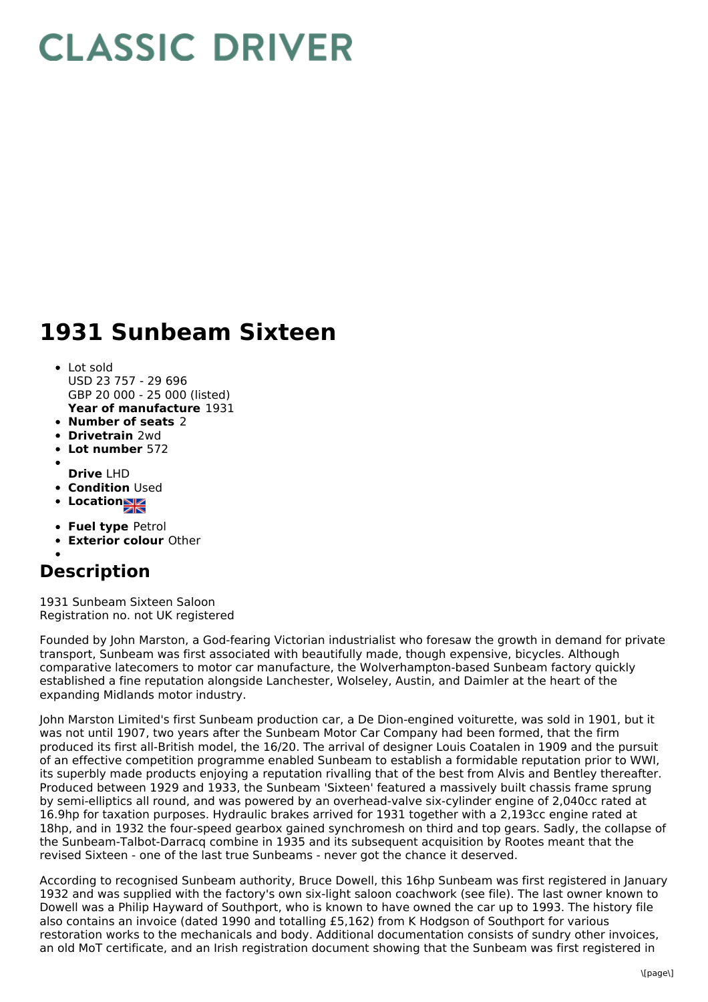## **CLASSIC DRIVER**

## **1931 Sunbeam Sixteen**

- **Year of manufacture** 1931 Lot sold USD 23 757 - 29 696 GBP 20 000 - 25 000 (listed)
- **Number of seats** 2
- **Drivetrain** 2wd
- **Lot number** 572  $\bullet$
- **Drive** LHD
- **Condition Used**
- Location<sub>al</sub>
- 
- **Fuel type** Petrol
- **Exterior colour** Other

## **Description**

1931 Sunbeam Sixteen Saloon Registration no. not UK registered

Founded by John Marston, a God-fearing Victorian industrialist who foresaw the growth in demand for private transport, Sunbeam was first associated with beautifully made, though expensive, bicycles. Although comparative latecomers to motor car manufacture, the Wolverhampton-based Sunbeam factory quickly established a fine reputation alongside Lanchester, Wolseley, Austin, and Daimler at the heart of the expanding Midlands motor industry.

John Marston Limited's first Sunbeam production car, a De Dion-engined voiturette, was sold in 1901, but it was not until 1907, two years after the Sunbeam Motor Car Company had been formed, that the firm produced its first all-British model, the 16/20. The arrival of designer Louis Coatalen in 1909 and the pursuit of an effective competition programme enabled Sunbeam to establish a formidable reputation prior to WWI, its superbly made products enjoying a reputation rivalling that of the best from Alvis and Bentley thereafter. Produced between 1929 and 1933, the Sunbeam 'Sixteen' featured a massively built chassis frame sprung by semi-elliptics all round, and was powered by an overhead-valve six-cylinder engine of 2,040cc rated at 16.9hp for taxation purposes. Hydraulic brakes arrived for 1931 together with a 2,193cc engine rated at 18hp, and in 1932 the four-speed gearbox gained synchromesh on third and top gears. Sadly, the collapse of the Sunbeam-Talbot-Darracq combine in 1935 and its subsequent acquisition by Rootes meant that the revised Sixteen - one of the last true Sunbeams - never got the chance it deserved.

According to recognised Sunbeam authority, Bruce Dowell, this 16hp Sunbeam was first registered in January 1932 and was supplied with the factory's own six-light saloon coachwork (see file). The last owner known to Dowell was a Philip Hayward of Southport, who is known to have owned the car up to 1993. The history file also contains an invoice (dated 1990 and totalling £5,162) from K Hodgson of Southport for various restoration works to the mechanicals and body. Additional documentation consists of sundry other invoices, an old MoT certificate, and an Irish registration document showing that the Sunbeam was first registered in